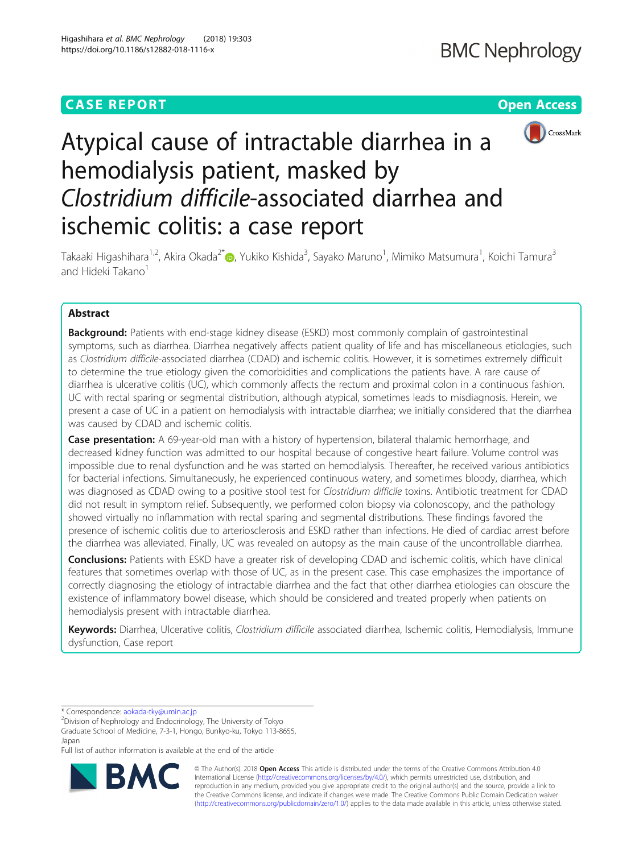## **CASE REPORT CASE REPORT CASE REPORT**



# Atypical cause of intractable diarrhea in a hemodialysis patient, masked by Clostridium difficile-associated diarrhea and ischemic colitis: a case report

Takaaki Higashihara<sup>1,2</sup>, Akira Okada<sup>2[\\*](http://orcid.org/0000-0001-6480-3388)</sup>®, Yukiko Kishida<sup>3</sup>, Sayako Maruno<sup>1</sup>, Mimiko Matsumura<sup>1</sup>, Koichi Tamura<sup>3</sup> and Hideki Takano<sup>1</sup>

### Abstract

**Background:** Patients with end-stage kidney disease (ESKD) most commonly complain of gastrointestinal symptoms, such as diarrhea. Diarrhea negatively affects patient quality of life and has miscellaneous etiologies, such as Clostridium difficile-associated diarrhea (CDAD) and ischemic colitis. However, it is sometimes extremely difficult to determine the true etiology given the comorbidities and complications the patients have. A rare cause of diarrhea is ulcerative colitis (UC), which commonly affects the rectum and proximal colon in a continuous fashion. UC with rectal sparing or segmental distribution, although atypical, sometimes leads to misdiagnosis. Herein, we present a case of UC in a patient on hemodialysis with intractable diarrhea; we initially considered that the diarrhea was caused by CDAD and ischemic colitis.

Case presentation: A 69-year-old man with a history of hypertension, bilateral thalamic hemorrhage, and decreased kidney function was admitted to our hospital because of congestive heart failure. Volume control was impossible due to renal dysfunction and he was started on hemodialysis. Thereafter, he received various antibiotics for bacterial infections. Simultaneously, he experienced continuous watery, and sometimes bloody, diarrhea, which was diagnosed as CDAD owing to a positive stool test for Clostridium difficile toxins. Antibiotic treatment for CDAD did not result in symptom relief. Subsequently, we performed colon biopsy via colonoscopy, and the pathology showed virtually no inflammation with rectal sparing and segmental distributions. These findings favored the presence of ischemic colitis due to arteriosclerosis and ESKD rather than infections. He died of cardiac arrest before the diarrhea was alleviated. Finally, UC was revealed on autopsy as the main cause of the uncontrollable diarrhea.

Conclusions: Patients with ESKD have a greater risk of developing CDAD and ischemic colitis, which have clinical features that sometimes overlap with those of UC, as in the present case. This case emphasizes the importance of correctly diagnosing the etiology of intractable diarrhea and the fact that other diarrhea etiologies can obscure the existence of inflammatory bowel disease, which should be considered and treated properly when patients on hemodialysis present with intractable diarrhea.

Keywords: Diarrhea, Ulcerative colitis, Clostridium difficile associated diarrhea, Ischemic colitis, Hemodialysis, Immune dysfunction, Case report

\* Correspondence: [aokada-tky@umin.ac.jp](mailto:aokada-tky@umin.ac.jp) <sup>2</sup>

Division of Nephrology and Endocrinology, The University of Tokyo Graduate School of Medicine, 7-3-1, Hongo, Bunkyo-ku, Tokyo 113-8655, Japan

Full list of author information is available at the end of the article



© The Author(s). 2018 Open Access This article is distributed under the terms of the Creative Commons Attribution 4.0 International License [\(http://creativecommons.org/licenses/by/4.0/](http://creativecommons.org/licenses/by/4.0/)), which permits unrestricted use, distribution, and reproduction in any medium, provided you give appropriate credit to the original author(s) and the source, provide a link to the Creative Commons license, and indicate if changes were made. The Creative Commons Public Domain Dedication waiver [\(http://creativecommons.org/publicdomain/zero/1.0/](http://creativecommons.org/publicdomain/zero/1.0/)) applies to the data made available in this article, unless otherwise stated.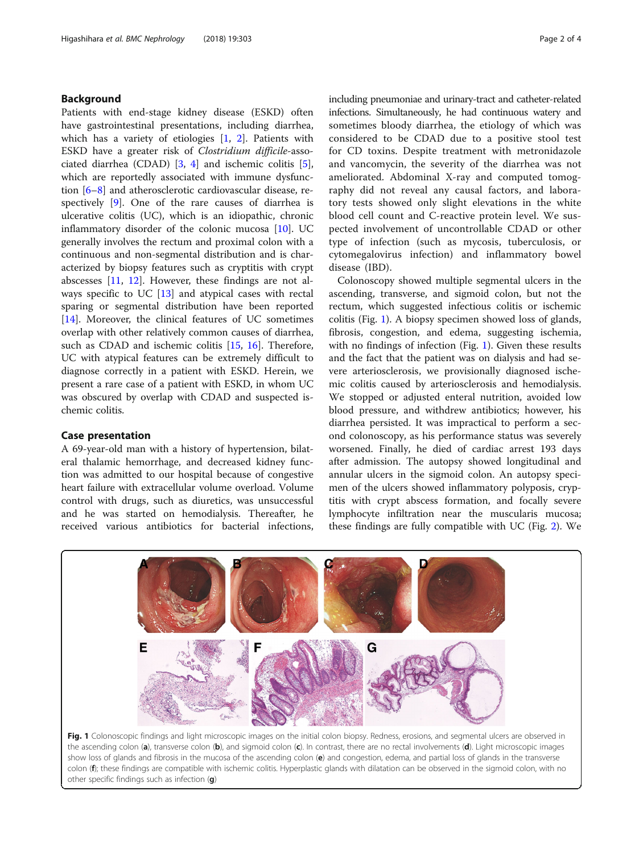#### Background

Patients with end-stage kidney disease (ESKD) often have gastrointestinal presentations, including diarrhea, which has a variety of etiologies [\[1](#page-3-0), [2](#page-3-0)]. Patients with ESKD have a greater risk of Clostridium difficile-associated diarrhea (CDAD) [\[3](#page-3-0), [4](#page-3-0)] and ischemic colitis [\[5](#page-3-0)], which are reportedly associated with immune dysfunction [\[6](#page-3-0)–[8](#page-3-0)] and atherosclerotic cardiovascular disease, respectively [\[9](#page-3-0)]. One of the rare causes of diarrhea is ulcerative colitis (UC), which is an idiopathic, chronic inflammatory disorder of the colonic mucosa [\[10\]](#page-3-0). UC generally involves the rectum and proximal colon with a continuous and non-segmental distribution and is characterized by biopsy features such as cryptitis with crypt abscesses [\[11](#page-3-0), [12\]](#page-3-0). However, these findings are not always specific to UC [[13\]](#page-3-0) and atypical cases with rectal sparing or segmental distribution have been reported [[14\]](#page-3-0). Moreover, the clinical features of UC sometimes overlap with other relatively common causes of diarrhea, such as CDAD and ischemic colitis [\[15,](#page-3-0) [16\]](#page-3-0). Therefore, UC with atypical features can be extremely difficult to diagnose correctly in a patient with ESKD. Herein, we present a rare case of a patient with ESKD, in whom UC was obscured by overlap with CDAD and suspected ischemic colitis.

#### Case presentation

A 69-year-old man with a history of hypertension, bilateral thalamic hemorrhage, and decreased kidney function was admitted to our hospital because of congestive heart failure with extracellular volume overload. Volume control with drugs, such as diuretics, was unsuccessful and he was started on hemodialysis. Thereafter, he received various antibiotics for bacterial infections,

including pneumoniae and urinary-tract and catheter-related infections. Simultaneously, he had continuous watery and sometimes bloody diarrhea, the etiology of which was considered to be CDAD due to a positive stool test for CD toxins. Despite treatment with metronidazole and vancomycin, the severity of the diarrhea was not ameliorated. Abdominal X-ray and computed tomography did not reveal any causal factors, and laboratory tests showed only slight elevations in the white blood cell count and C-reactive protein level. We suspected involvement of uncontrollable CDAD or other type of infection (such as mycosis, tuberculosis, or cytomegalovirus infection) and inflammatory bowel disease (IBD).

Colonoscopy showed multiple segmental ulcers in the ascending, transverse, and sigmoid colon, but not the rectum, which suggested infectious colitis or ischemic colitis (Fig. 1). A biopsy specimen showed loss of glands, fibrosis, congestion, and edema, suggesting ischemia, with no findings of infection (Fig. 1). Given these results and the fact that the patient was on dialysis and had severe arteriosclerosis, we provisionally diagnosed ischemic colitis caused by arteriosclerosis and hemodialysis. We stopped or adjusted enteral nutrition, avoided low blood pressure, and withdrew antibiotics; however, his diarrhea persisted. It was impractical to perform a second colonoscopy, as his performance status was severely worsened. Finally, he died of cardiac arrest 193 days after admission. The autopsy showed longitudinal and annular ulcers in the sigmoid colon. An autopsy specimen of the ulcers showed inflammatory polyposis, cryptitis with crypt abscess formation, and focally severe lymphocyte infiltration near the muscularis mucosa; these findings are fully compatible with UC (Fig. [2\)](#page-2-0). We



Fig. 1 Colonoscopic findings and light microscopic images on the initial colon biopsy. Redness, erosions, and segmental ulcers are observed in the ascending colon (a), transverse colon (b), and sigmoid colon (c). In contrast, there are no rectal involvements (d). Light microscopic images show loss of glands and fibrosis in the mucosa of the ascending colon (e) and congestion, edema, and partial loss of glands in the transverse colon (f); these findings are compatible with ischemic colitis. Hyperplastic glands with dilatation can be observed in the sigmoid colon, with no other specific findings such as infection  $(q)$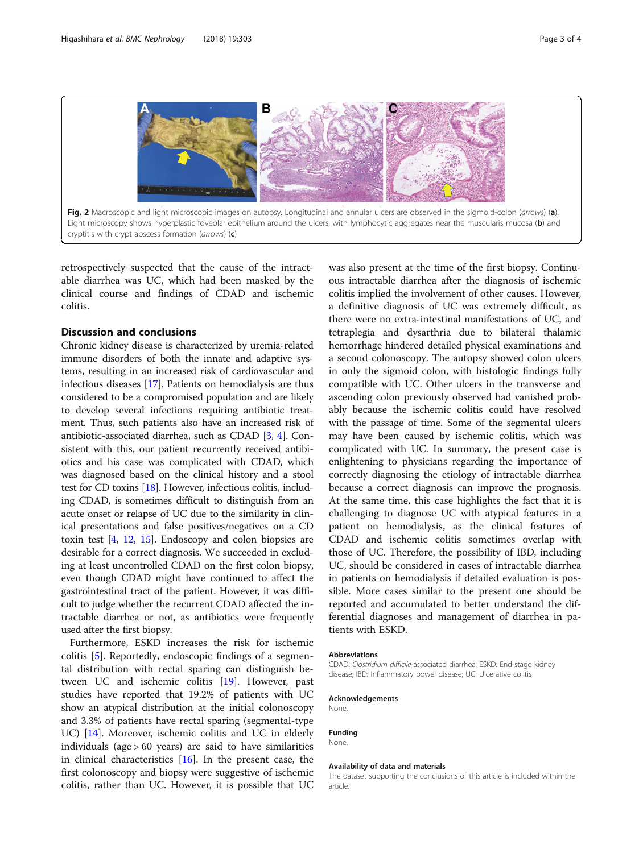<span id="page-2-0"></span>

retrospectively suspected that the cause of the intractable diarrhea was UC, which had been masked by the clinical course and findings of CDAD and ischemic colitis.

#### Discussion and conclusions

Chronic kidney disease is characterized by uremia-related immune disorders of both the innate and adaptive systems, resulting in an increased risk of cardiovascular and infectious diseases [[17](#page-3-0)]. Patients on hemodialysis are thus considered to be a compromised population and are likely to develop several infections requiring antibiotic treatment. Thus, such patients also have an increased risk of antibiotic-associated diarrhea, such as CDAD [[3](#page-3-0), [4\]](#page-3-0). Consistent with this, our patient recurrently received antibiotics and his case was complicated with CDAD, which was diagnosed based on the clinical history and a stool test for CD toxins [\[18\]](#page-3-0). However, infectious colitis, including CDAD, is sometimes difficult to distinguish from an acute onset or relapse of UC due to the similarity in clinical presentations and false positives/negatives on a CD toxin test [\[4,](#page-3-0) [12,](#page-3-0) [15\]](#page-3-0). Endoscopy and colon biopsies are desirable for a correct diagnosis. We succeeded in excluding at least uncontrolled CDAD on the first colon biopsy, even though CDAD might have continued to affect the gastrointestinal tract of the patient. However, it was difficult to judge whether the recurrent CDAD affected the intractable diarrhea or not, as antibiotics were frequently used after the first biopsy.

Furthermore, ESKD increases the risk for ischemic colitis [[5](#page-3-0)]. Reportedly, endoscopic findings of a segmental distribution with rectal sparing can distinguish between UC and ischemic colitis [[19\]](#page-3-0). However, past studies have reported that 19.2% of patients with UC show an atypical distribution at the initial colonoscopy and 3.3% of patients have rectal sparing (segmental-type UC) [\[14\]](#page-3-0). Moreover, ischemic colitis and UC in elderly individuals (age > 60 years) are said to have similarities in clinical characteristics [[16](#page-3-0)]. In the present case, the first colonoscopy and biopsy were suggestive of ischemic colitis, rather than UC. However, it is possible that UC

was also present at the time of the first biopsy. Continuous intractable diarrhea after the diagnosis of ischemic colitis implied the involvement of other causes. However, a definitive diagnosis of UC was extremely difficult, as there were no extra-intestinal manifestations of UC, and tetraplegia and dysarthria due to bilateral thalamic hemorrhage hindered detailed physical examinations and a second colonoscopy. The autopsy showed colon ulcers in only the sigmoid colon, with histologic findings fully compatible with UC. Other ulcers in the transverse and ascending colon previously observed had vanished probably because the ischemic colitis could have resolved with the passage of time. Some of the segmental ulcers may have been caused by ischemic colitis, which was complicated with UC. In summary, the present case is enlightening to physicians regarding the importance of correctly diagnosing the etiology of intractable diarrhea because a correct diagnosis can improve the prognosis. At the same time, this case highlights the fact that it is challenging to diagnose UC with atypical features in a patient on hemodialysis, as the clinical features of CDAD and ischemic colitis sometimes overlap with those of UC. Therefore, the possibility of IBD, including UC, should be considered in cases of intractable diarrhea in patients on hemodialysis if detailed evaluation is possible. More cases similar to the present one should be reported and accumulated to better understand the differential diagnoses and management of diarrhea in patients with ESKD.

#### Abbreviations

CDAD: Clostridium difficile-associated diarrhea; ESKD: End-stage kidney disease; IBD: Inflammatory bowel disease; UC: Ulcerative colitis

#### Acknowledgements

None.

#### Funding

None.

#### Availability of data and materials

The dataset supporting the conclusions of this article is included within the article.